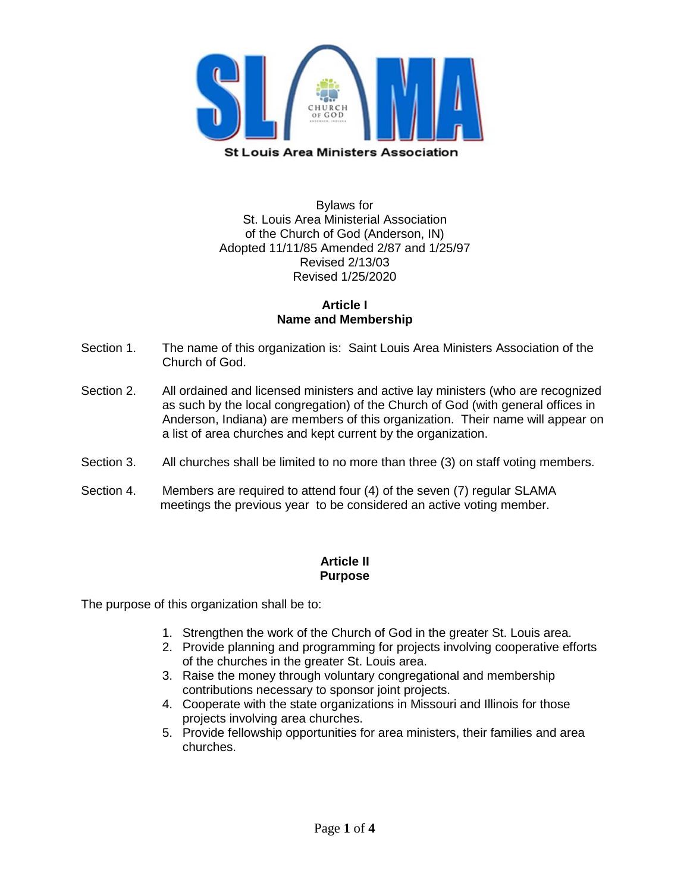

Bylaws for St. Louis Area Ministerial Association of the Church of God (Anderson, IN) Adopted 11/11/85 Amended 2/87 and 1/25/97 Revised 2/13/03 Revised 1/25/2020

### **Article I Name and Membership**

- Section 1. The name of this organization is: Saint Louis Area Ministers Association of the Church of God.
- Section 2. All ordained and licensed ministers and active lay ministers (who are recognized as such by the local congregation) of the Church of God (with general offices in Anderson, Indiana) are members of this organization. Their name will appear on a list of area churches and kept current by the organization.
- Section 3. All churches shall be limited to no more than three (3) on staff voting members.
- Section 4. Members are required to attend four (4) of the seven (7) regular SLAMA meetings the previous year to be considered an active voting member.

#### **Article II Purpose**

The purpose of this organization shall be to:

- 1. Strengthen the work of the Church of God in the greater St. Louis area.
- 2. Provide planning and programming for projects involving cooperative efforts of the churches in the greater St. Louis area.
- 3. Raise the money through voluntary congregational and membership contributions necessary to sponsor joint projects.
- 4. Cooperate with the state organizations in Missouri and Illinois for those projects involving area churches.
- 5. Provide fellowship opportunities for area ministers, their families and area churches.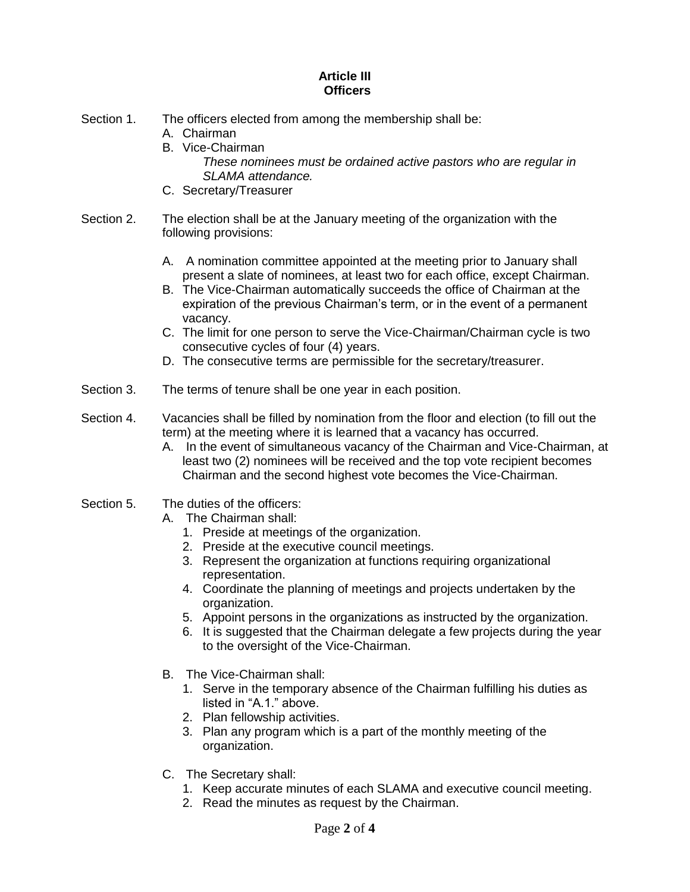#### **Article III Officers**

- Section 1. The officers elected from among the membership shall be:
	- A. Chairman
	- B. Vice-Chairman
		- *These nominees must be ordained active pastors who are regular in SLAMA attendance.*
	- C. Secretary/Treasurer
- Section 2. The election shall be at the January meeting of the organization with the following provisions:
	- A. A nomination committee appointed at the meeting prior to January shall present a slate of nominees, at least two for each office, except Chairman.
	- B. The Vice-Chairman automatically succeeds the office of Chairman at the expiration of the previous Chairman's term, or in the event of a permanent vacancy.
	- C. The limit for one person to serve the Vice-Chairman/Chairman cycle is two consecutive cycles of four (4) years.
	- D. The consecutive terms are permissible for the secretary/treasurer.
- Section 3. The terms of tenure shall be one year in each position.
- Section 4. Vacancies shall be filled by nomination from the floor and election (to fill out the term) at the meeting where it is learned that a vacancy has occurred.
	- A. In the event of simultaneous vacancy of the Chairman and Vice-Chairman, at least two (2) nominees will be received and the top vote recipient becomes Chairman and the second highest vote becomes the Vice-Chairman.
- Section 5. The duties of the officers:
	- A. The Chairman shall:
		- 1. Preside at meetings of the organization.
		- 2. Preside at the executive council meetings.
		- 3. Represent the organization at functions requiring organizational representation.
		- 4. Coordinate the planning of meetings and projects undertaken by the organization.
		- 5. Appoint persons in the organizations as instructed by the organization.
		- 6. It is suggested that the Chairman delegate a few projects during the year to the oversight of the Vice-Chairman.
	- B. The Vice-Chairman shall:
		- 1. Serve in the temporary absence of the Chairman fulfilling his duties as listed in "A.1." above.
		- 2. Plan fellowship activities.
		- 3. Plan any program which is a part of the monthly meeting of the organization.
	- C. The Secretary shall:
		- 1. Keep accurate minutes of each SLAMA and executive council meeting.
		- 2. Read the minutes as request by the Chairman.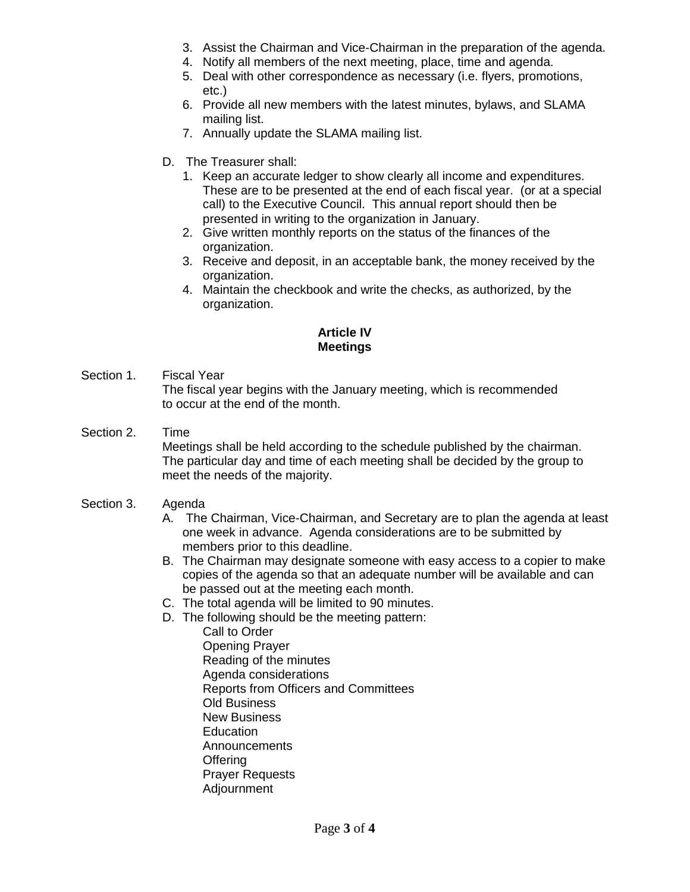- 3. Assist the Chairman and Vice-Chairman in the preparation of the agenda.
- 4. Notify all members of the next meeting, place, time and agenda.
- 5. Deal with other correspondence as necessary (i.e. flyers, promotions, etc.)
- 6. Provide all new members with the latest minutes, bylaws, and SLAMA mailing list.
- 7. Annually update the SLAMA mailing list.
- D. The Treasurer shall:
	- 1. Keep an accurate ledger to show clearly all income and expenditures. These are to be presented at the end of each fiscal year. (or at a special call) to the Executive Council. This annual report should then be presented in writing to the organization in January.
	- 2. Give written monthly reports on the status of the finances of the organization.
	- 3. Receive and deposit, in an acceptable bank, the money received by the organization.
	- 4. Maintain the checkbook and write the checks, as authorized, by the organization.

# **Article IV Meetings**

Section 1. Fiscal Year

The fiscal year begins with the January meeting, which is recommended to occur at the end of the month.

Section 2. Time

Meetings shall be held according to the schedule published by the chairman. The particular day and time of each meeting shall be decided by the group to meet the needs of the majority.

- Section 3. Agenda
	- A. The Chairman, Vice-Chairman, and Secretary are to plan the agenda at least one week in advance. Agenda considerations are to be submitted by members prior to this deadline.
	- B. The Chairman may designate someone with easy access to a copier to make copies of the agenda so that an adequate number will be available and can be passed out at the meeting each month.
	- C. The total agenda will be limited to 90 minutes.
	- D. The following should be the meeting pattern:
		- Call to Order Opening Prayer Reading of the minutes Agenda considerations Reports from Officers and Committees Old Business New Business **Education** Announcements **Offering** Prayer Requests Adjournment